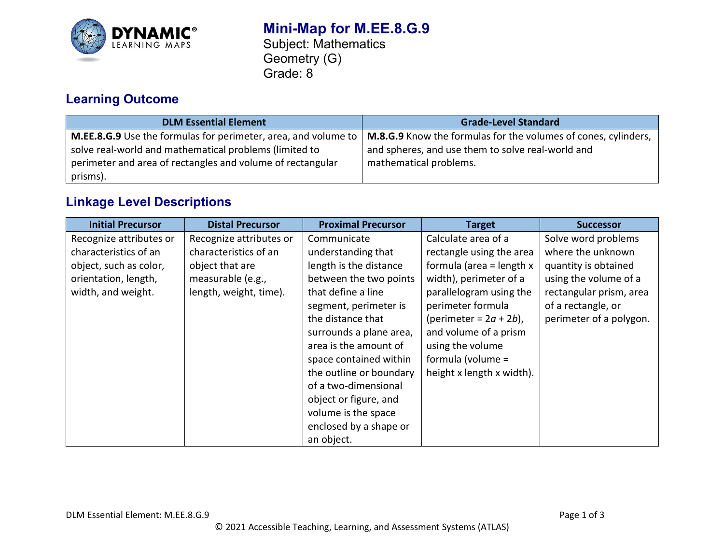

# **Learning Outcome**

| <b>DLM Essential Element</b>                                                                                               | <b>Grade-Level Standard</b>                                                                                         |
|----------------------------------------------------------------------------------------------------------------------------|---------------------------------------------------------------------------------------------------------------------|
| M.EE.8.G.9 Use the formulas for perimeter, area, and volume to  <br>solve real-world and mathematical problems (limited to | M.8.G.9 Know the formulas for the volumes of cones, cylinders,<br>and spheres, and use them to solve real-world and |
| perimeter and area of rectangles and volume of rectangular<br>prisms).                                                     | mathematical problems.                                                                                              |

## **Linkage Level Descriptions**

| <b>Initial Precursor</b> | <b>Distal Precursor</b> | <b>Proximal Precursor</b> | <b>Target</b>              | <b>Successor</b>        |
|--------------------------|-------------------------|---------------------------|----------------------------|-------------------------|
| Recognize attributes or  | Recognize attributes or | Communicate               | Calculate area of a        | Solve word problems     |
| characteristics of an    | characteristics of an   | understanding that        | rectangle using the area   | where the unknown       |
| object, such as color,   | object that are         | length is the distance    | formula (area = length $x$ | quantity is obtained    |
| orientation, length,     | measurable (e.g.,       | between the two points    | width), perimeter of a     | using the volume of a   |
| width, and weight.       | length, weight, time).  | that define a line        | parallelogram using the    | rectangular prism, area |
|                          |                         | segment, perimeter is     | perimeter formula          | of a rectangle, or      |
|                          |                         | the distance that         | (perimeter = $2a + 2b$ ),  | perimeter of a polygon. |
|                          |                         | surrounds a plane area,   | and volume of a prism      |                         |
|                          |                         | area is the amount of     | using the volume           |                         |
|                          |                         | space contained within    | formula (volume =          |                         |
|                          |                         | the outline or boundary   | height x length x width).  |                         |
|                          |                         | of a two-dimensional      |                            |                         |
|                          |                         | object or figure, and     |                            |                         |
|                          |                         | volume is the space       |                            |                         |
|                          |                         | enclosed by a shape or    |                            |                         |
|                          |                         | an object.                |                            |                         |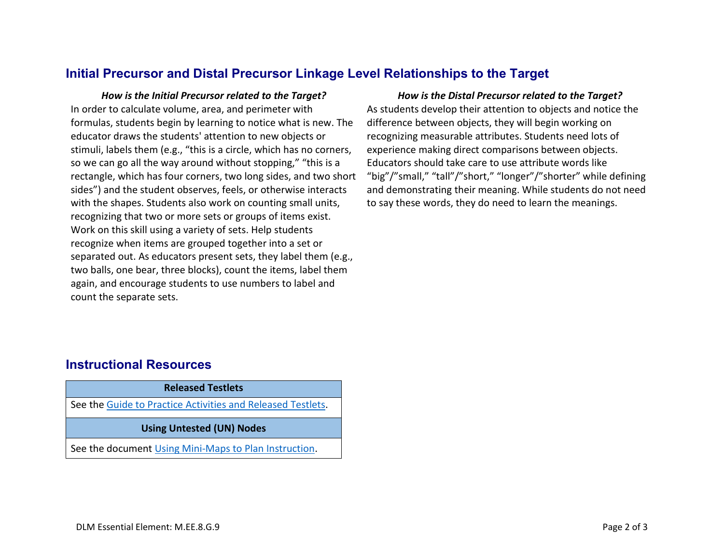### **Initial Precursor and Distal Precursor Linkage Level Relationships to the Target**

*How is the Initial Precursor related to the Target? How is the Distal Precursor related to the Target?* In order to calculate volume, area, and perimeter with formulas, students begin by learning to notice what is new. The educator draws the students' attention to new objects or stimuli, labels them (e.g., "this is a circle, which has no corners, so we can go all the way around without stopping," "this is a rectangle, which has four corners, two long sides, and two short sides") and the student observes, feels, or otherwise interacts with the shapes. Students also work on counting small units, recognizing that two or more sets or groups of items exist. Work on this skill using a variety of sets. Help students recognize when items are grouped together into a set or separated out. As educators present sets, they label them (e.g., two balls, one bear, three blocks), count the items, label them again, and encourage students to use numbers to label and count the separate sets.

As students develop their attention to objects and notice the difference between objects, they will begin working on recognizing measurable attributes. Students need lots of experience making direct comparisons between objects. Educators should take care to use attribute words like "big"/"small," "tall"/"short," "longer"/"shorter" while defining and demonstrating their meaning. While students do not need to say these words, they do need to learn the meanings.

## **Instructional Resources**

| <b>Released Testlets</b>                                    |  |  |
|-------------------------------------------------------------|--|--|
| See the Guide to Practice Activities and Released Testlets. |  |  |
| <b>Using Untested (UN) Nodes</b>                            |  |  |
| See the document Using Mini-Maps to Plan Instruction.       |  |  |